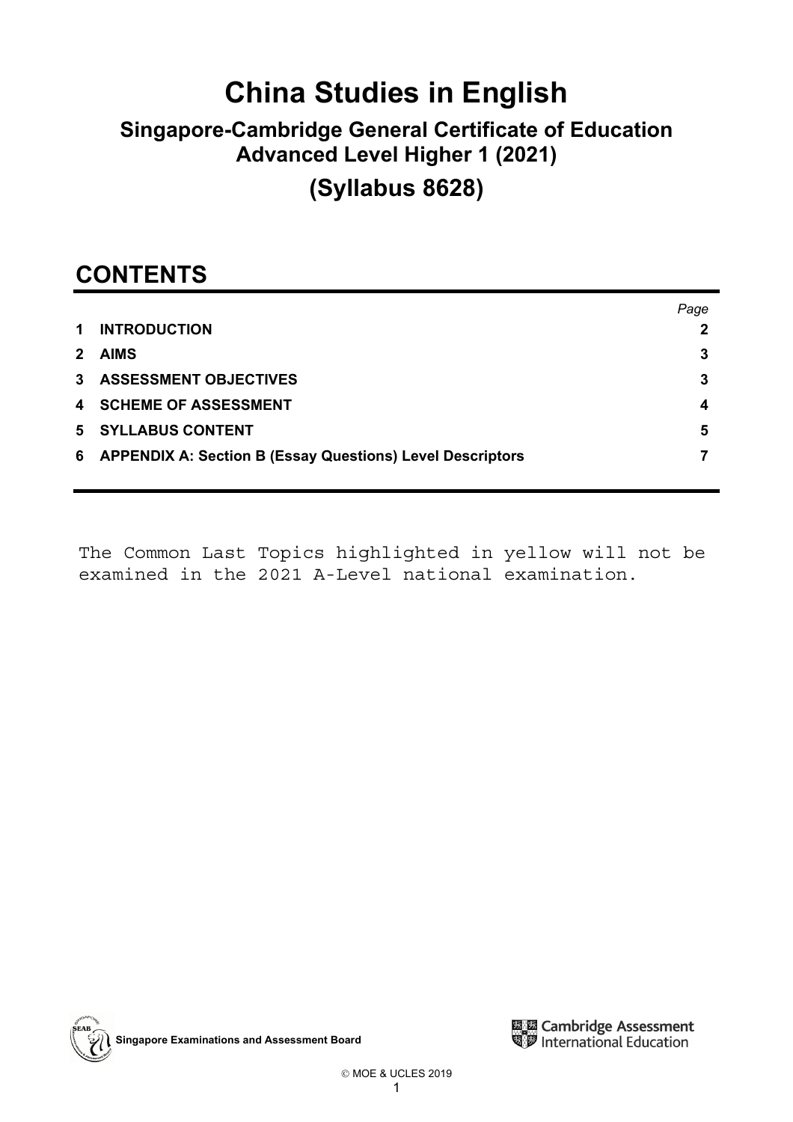# **China Studies in English**

## **Singapore-Cambridge General Certificate of Education Advanced Level Higher 1 (2021)**

## **(Syllabus 8628)**

## **CONTENTS**

|                                                             | Page |
|-------------------------------------------------------------|------|
| 1 INTRODUCTION                                              |      |
| 2 AIMS                                                      | 3    |
| 3 ASSESSMENT OBJECTIVES                                     |      |
| <b>4 SCHEME OF ASSESSMENT</b>                               | 4    |
| <b>5 SYLLABUS CONTENT</b>                                   | 5    |
| 6 APPENDIX A: Section B (Essay Questions) Level Descriptors |      |
|                                                             |      |

The Common Last Topics highlighted in yellow will not be examined in the 2021 A-Level national examination.



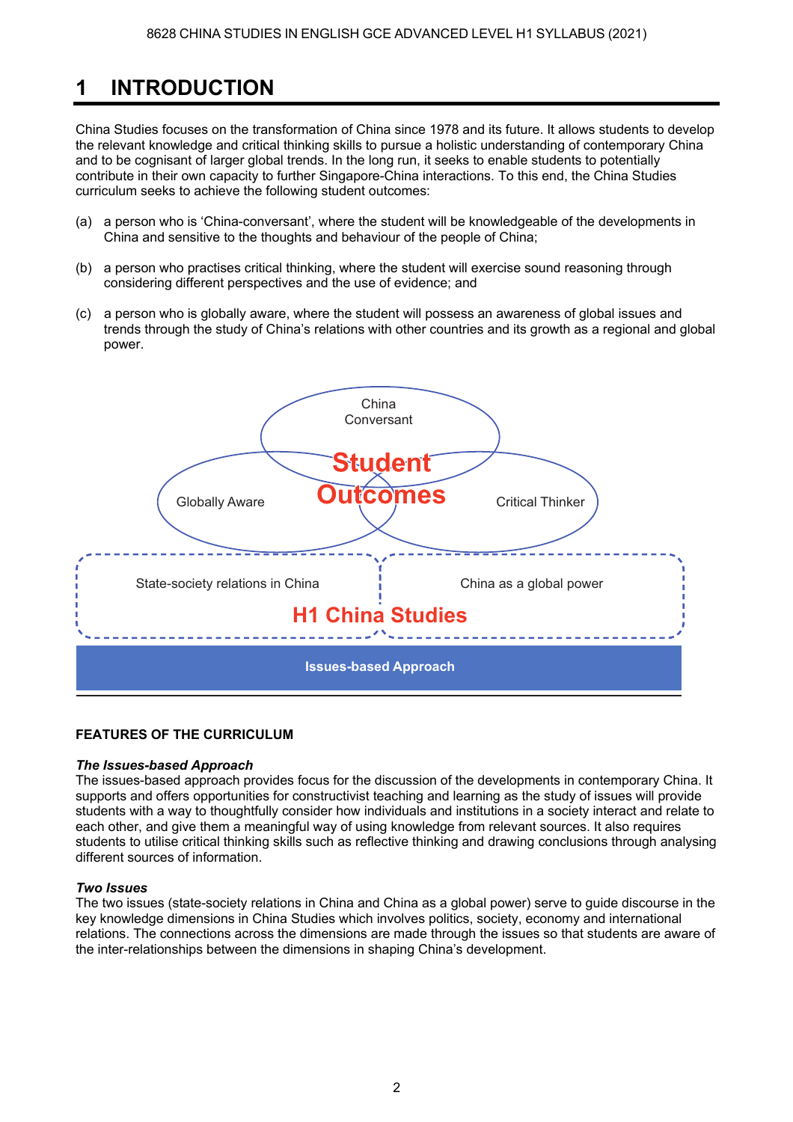### **1 INTRODUCTION**

China Studies focuses on the transformation of China since 1978 and its future. It allows students to develop the relevant knowledge and critical thinking skills to pursue a holistic understanding of contemporary China and to be cognisant of larger global trends. In the long run, it seeks to enable students to potentially contribute in their own capacity to further Singapore-China interactions. To this end, the China Studies curriculum seeks to achieve the following student outcomes:

- (a) a person who is 'China-conversant', where the student will be knowledgeable of the developments in China and sensitive to the thoughts and behaviour of the people of China;
- (b) a person who practises critical thinking, where the student will exercise sound reasoning through considering different perspectives and the use of evidence; and
- (c) a person who is globally aware, where the student will possess an awareness of global issues and trends through the study of China's relations with other countries and its growth as a regional and global power.



### **FEATURES OF THE CURRICULUM**

### *The Issues-based Approach*

The issues-based approach provides focus for the discussion of the developments in contemporary China. It supports and offers opportunities for constructivist teaching and learning as the study of issues will provide students with a way to thoughtfully consider how individuals and institutions in a society interact and relate to each other, and give them a meaningful way of using knowledge from relevant sources. It also requires students to utilise critical thinking skills such as reflective thinking and drawing conclusions through analysing different sources of information.

### *Two Issues*

The two issues (state-society relations in China and China as a global power) serve to guide discourse in the key knowledge dimensions in China Studies which involves politics, society, economy and international relations. The connections across the dimensions are made through the issues so that students are aware of the inter-relationships between the dimensions in shaping China's development.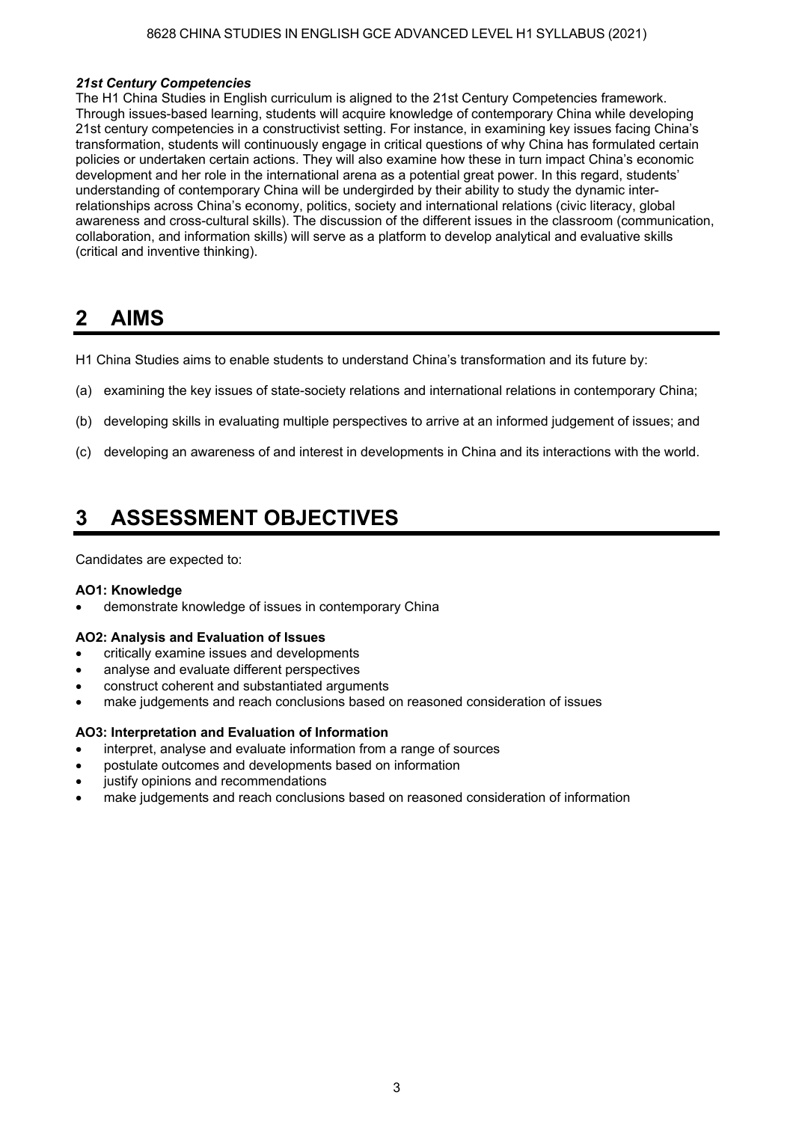### 8628 CHINA STUDIES IN ENGLISH GCE ADVANCED LEVEL H1 SYLLABUS (2021)

#### *21st Century Competencies*

The H1 China Studies in English curriculum is aligned to the 21st Century Competencies framework. Through issues-based learning, students will acquire knowledge of contemporary China while developing 21st century competencies in a constructivist setting. For instance, in examining key issues facing China's transformation, students will continuously engage in critical questions of why China has formulated certain policies or undertaken certain actions. They will also examine how these in turn impact China's economic development and her role in the international arena as a potential great power. In this regard, students understanding of contemporary China will be undergirded by their ability to study the dynamic interrelationships across China's economy, politics, society and international relations (civic literacy, global awareness and cross-cultural skills). The discussion of the different issues in the classroom (communication, collaboration, and information skills) will serve as a platform to develop analytical and evaluative skills (critical and inventive thinking).

### **2 AIMS**

- H1 China Studies aims to enable students to understand China's transformation and its future by:
- (a) examining the key issues of state-society relations and international relations in contemporary China;
- (b) developing skills in evaluating multiple perspectives to arrive at an informed judgement of issues; and
- (c) developing an awareness of and interest in developments in China and its interactions with the world.

### **3 ASSESSMENT OBJECTIVES**

Candidates are expected to:

#### **AO1: Knowledge**

demonstrate knowledge of issues in contemporary China

#### **AO2: Analysis and Evaluation of Issues**

- critically examine issues and developments
- analyse and evaluate different perspectives
- construct coherent and substantiated arguments
- make judgements and reach conclusions based on reasoned consideration of issues

#### **AO3: Interpretation and Evaluation of Information**

- interpret, analyse and evaluate information from a range of sources
- postulate outcomes and developments based on information
- justify opinions and recommendations
- make judgements and reach conclusions based on reasoned consideration of information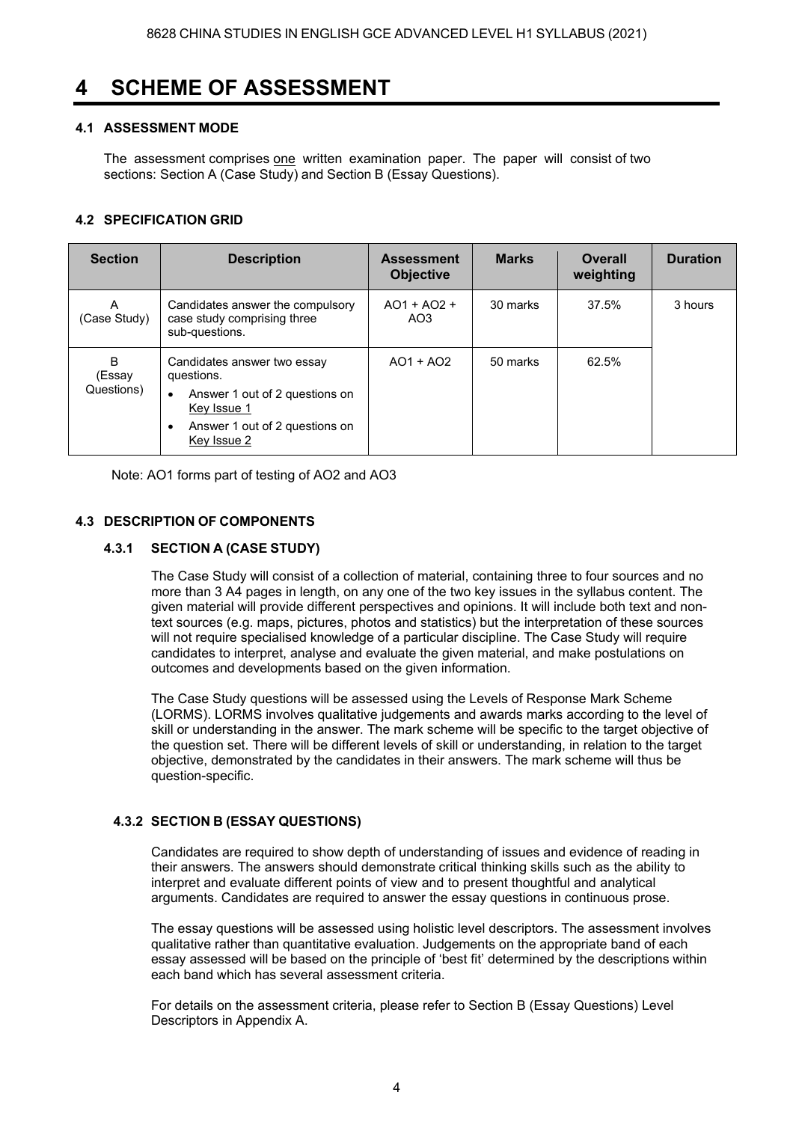### **4 SCHEME OF ASSESSMENT**

### **4.1 ASSESSMENT MODE**

The assessment comprises one written examination paper. The paper will consist of two sections: Section A (Case Study) and Section B (Essay Questions).

### **4.2 SPECIFICATION GRID**

| <b>Section</b>                       | <b>Description</b>                                                                                                                                                    | <b>Assessment</b><br><b>Objective</b> | <b>Marks</b> | Overall<br>weighting | <b>Duration</b> |
|--------------------------------------|-----------------------------------------------------------------------------------------------------------------------------------------------------------------------|---------------------------------------|--------------|----------------------|-----------------|
| A<br>(Case Study)                    | Candidates answer the compulsory<br>case study comprising three<br>sub-questions.                                                                                     | $AO1 + AO2 +$<br>AO <sub>3</sub>      | 30 marks     | 37.5%                | 3 hours         |
| <sub>B</sub><br>(Essay<br>Questions) | Candidates answer two essay<br>questions.<br>Answer 1 out of 2 questions on<br>$\bullet$<br>Key Issue 1<br>Answer 1 out of 2 questions on<br>$\bullet$<br>Key Issue 2 | $AO1 + AO2$                           | 50 marks     | 62.5%                |                 |

Note: AO1 forms part of testing of AO2 and AO3

### **4.3 DESCRIPTION OF COMPONENTS**

### **4.3.1 SECTION A (CASE STUDY)**

The Case Study will consist of a collection of material, containing three to four sources and no more than 3 A4 pages in length, on any one of the two key issues in the syllabus content. The given material will provide different perspectives and opinions. It will include both text and nontext sources (e.g. maps, pictures, photos and statistics) but the interpretation of these sources will not require specialised knowledge of a particular discipline. The Case Study will require candidates to interpret, analyse and evaluate the given material, and make postulations on outcomes and developments based on the given information.

The Case Study questions will be assessed using the Levels of Response Mark Scheme (LORMS). LORMS involves qualitative judgements and awards marks according to the level of skill or understanding in the answer. The mark scheme will be specific to the target objective of the question set. There will be different levels of skill or understanding, in relation to the target objective, demonstrated by the candidates in their answers. The mark scheme will thus be question-specific.

### **4.3.2 SECTION B (ESSAY QUESTIONS)**

Candidates are required to show depth of understanding of issues and evidence of reading in their answers. The answers should demonstrate critical thinking skills such as the ability to interpret and evaluate different points of view and to present thoughtful and analytical arguments. Candidates are required to answer the essay questions in continuous prose.

The essay questions will be assessed using holistic level descriptors. The assessment involves qualitative rather than quantitative evaluation. Judgements on the appropriate band of each essay assessed will be based on the principle of 'best fit' determined by the descriptions within each band which has several assessment criteria.

For details on the assessment criteria, please refer to Section B (Essay Questions) Level Descriptors in Appendix A.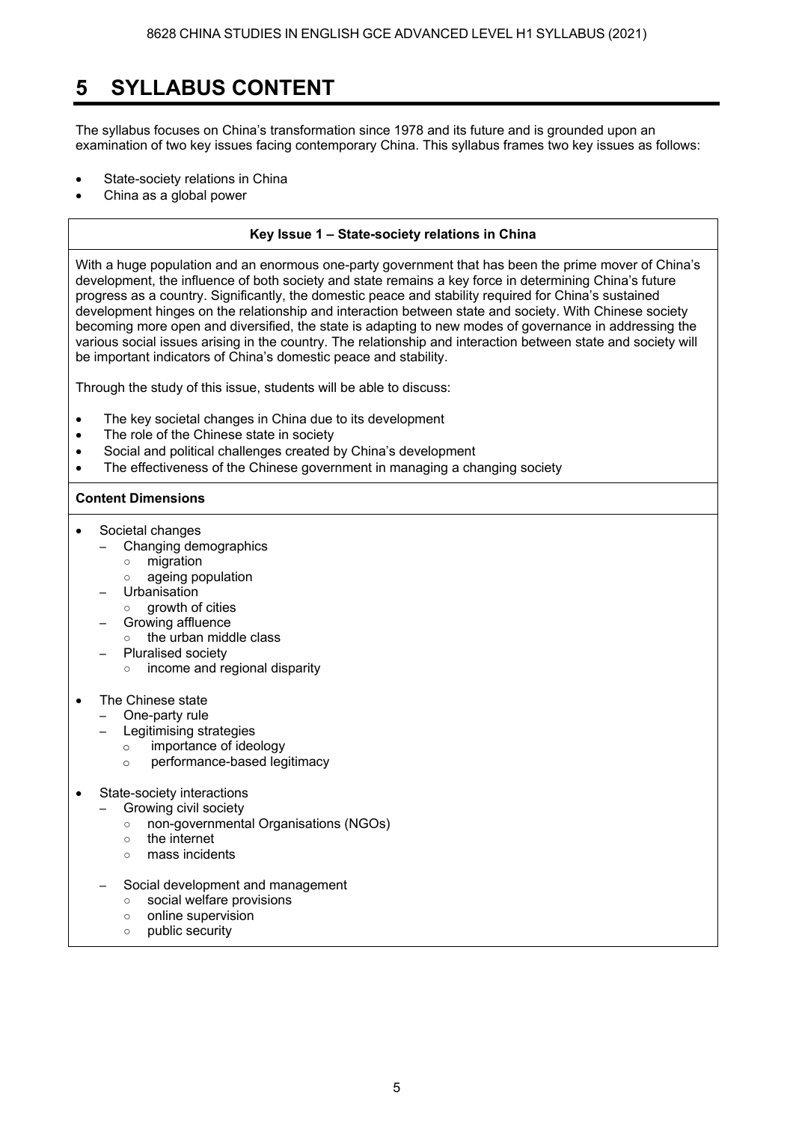### **5 SYLLABUS CONTENT**

The syllabus focuses on China's transformation since 1978 and its future and is grounded upon an examination of two key issues facing contemporary China. This syllabus frames two key issues as follows:

- State-society relations in China
- China as a global power

### **Key Issue 1 State-society relations in China**

With a huge population and an enormous one-party government that has been the prime mover of China's development, the influence of both society and state remains a key force in determining China's future progress as a country. Significantly, the domestic peace and stability required for China's sustained development hinges on the relationship and interaction between state and society. With Chinese society becoming more open and diversified, the state is adapting to new modes of governance in addressing the various social issues arising in the country. The relationship and interaction between state and society will be important indicators of China's domestic peace and stability.

Through the study of this issue, students will be able to discuss:

- The key societal changes in China due to its development
- The role of the Chinese state in society
- Social and political challenges created by China's development
- The effectiveness of the Chinese government in managing a changing society

### **Content Dimensions**

- Societal changes
	- Changing demographics
		- migration
		- ageing population
	- **Urbanisation**
	- o growth of cities
	- Growing affluence
		- the urban middle class
	- Pluralised society ○ income and regional disparity
- The Chinese state
	- One-party rule
		- Legitimising strategies
		- o importance of ideology
			- o performance-based legitimacy
- State-society interactions
	- Growing civil society
		- non-governmental Organisations (NGOs)
		- the internet
		- mass incidents
	- Social development and management
		- social welfare provisions
		- online supervision
		- public security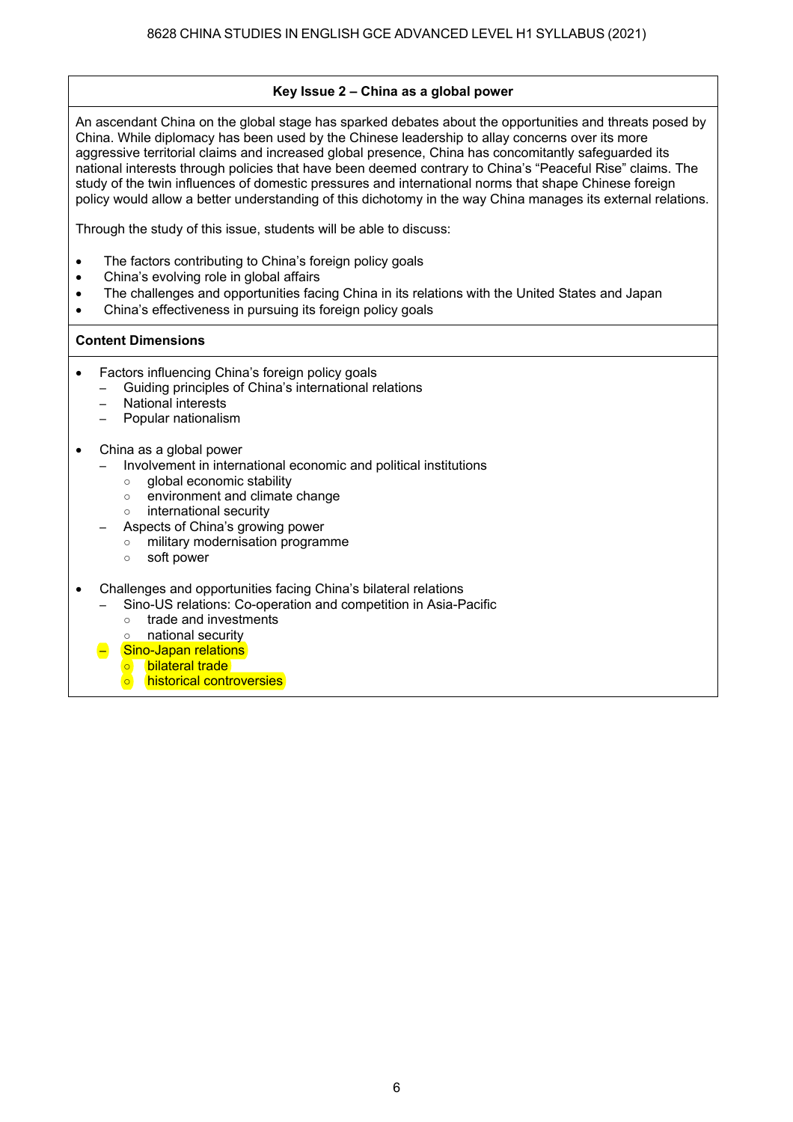### **Key Issue 2 China as a global power**

An ascendant China on the global stage has sparked debates about the opportunities and threats posed by China. While diplomacy has been used by the Chinese leadership to allay concerns over its more aggressive territorial claims and increased global presence, China has concomitantly safeguarded its national interests through policies that have been deemed contrary to China's "Peaceful Rise" claims. The study of the twin influences of domestic pressures and international norms that shape Chinese foreign policy would allow a better understanding of this dichotomy in the way China manages its external relations.

Through the study of this issue, students will be able to discuss:

- The factors contributing to China's foreign policy goals
- China's evolving role in global affairs
- The challenges and opportunities facing China in its relations with the United States and Japan
- China's effectiveness in pursuing its foreign policy goals

### **Content Dimensions**

- Factors influencing China's foreign policy goals
	- Guiding principles of China's international relations
		- National interests
	- Popular nationalism
- China as a global power
	- Involvement in international economic and political institutions
	- global economic stability
	- environment and climate change
	- international security
	- Aspects of China's growing power
	- military modernisation programme
	- soft power
- Challenges and opportunities facing China's bilateral relations
	- Sino-US relations: Co-operation and competition in Asia-Pacific
	- trade and investments<br>○ national security
	- national security
	- Sino-Japan relations
	- bilateral trade
	- historical controversies